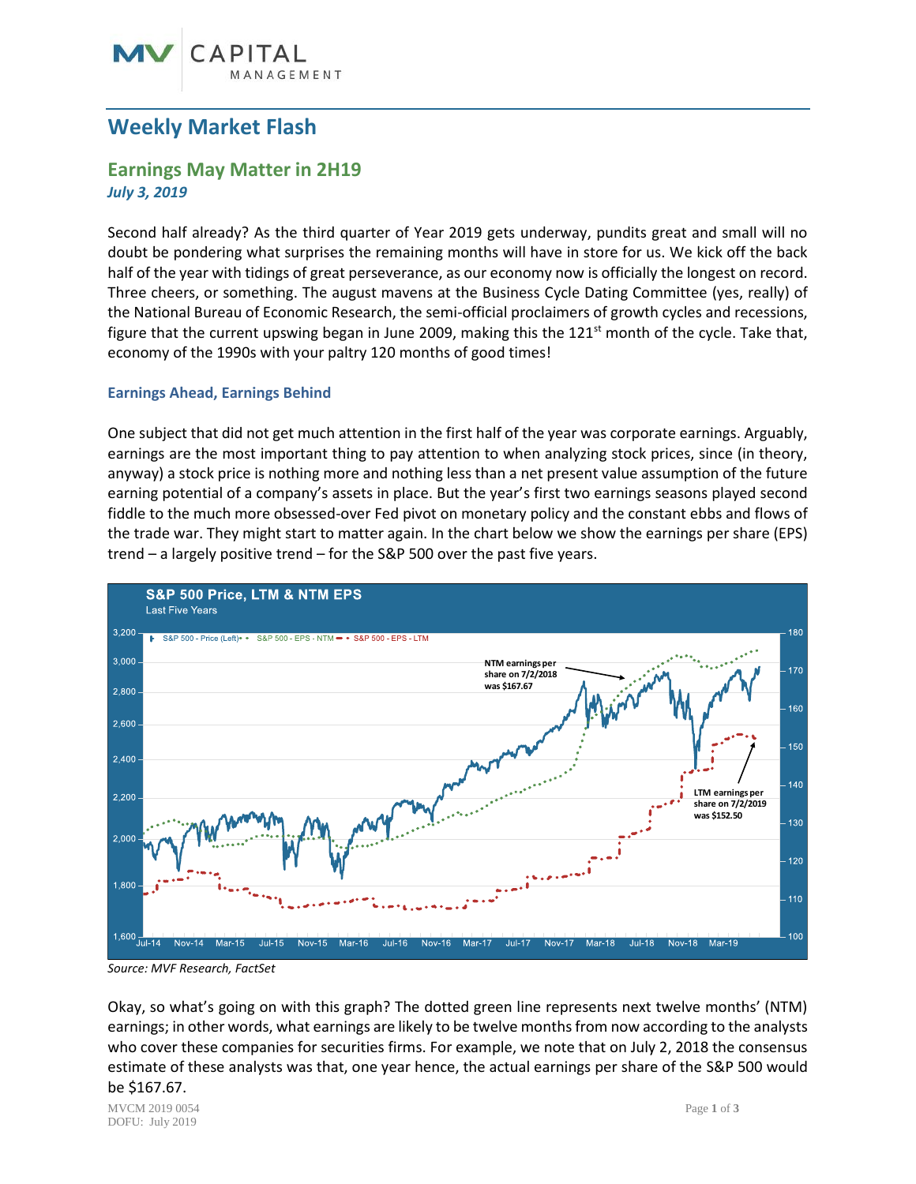## CAPITAI GEMENT

## **Weekly Market Flash**

# **Earnings May Matter in 2H19**

*July 3, 2019*

Second half already? As the third quarter of Year 2019 gets underway, pundits great and small will no doubt be pondering what surprises the remaining months will have in store for us. We kick off the back half of the year with tidings of great perseverance, as our economy now is officially the longest on record. Three cheers, or something. The august mavens at the Business Cycle Dating Committee (yes, really) of the National Bureau of Economic Research, the semi-official proclaimers of growth cycles and recessions, figure that the current upswing began in June 2009, making this the  $121<sup>st</sup>$  month of the cycle. Take that, economy of the 1990s with your paltry 120 months of good times!

### **Earnings Ahead, Earnings Behind**

One subject that did not get much attention in the first half of the year was corporate earnings. Arguably, earnings are the most important thing to pay attention to when analyzing stock prices, since (in theory, anyway) a stock price is nothing more and nothing less than a net present value assumption of the future earning potential of a company's assets in place. But the year's first two earnings seasons played second fiddle to the much more obsessed-over Fed pivot on monetary policy and the constant ebbs and flows of the trade war. They might start to matter again. In the chart below we show the earnings per share (EPS) trend – a largely positive trend – for the S&P 500 over the past five years.



*Source: MVF Research, FactSet*

Okay, so what's going on with this graph? The dotted green line represents next twelve months' (NTM) earnings; in other words, what earnings are likely to be twelve months from now according to the analysts who cover these companies for securities firms. For example, we note that on July 2, 2018 the consensus estimate of these analysts was that, one year hence, the actual earnings per share of the S&P 500 would be \$167.67.

MVCM 2019 0054 Page **1** of **3** DOFU: July 2019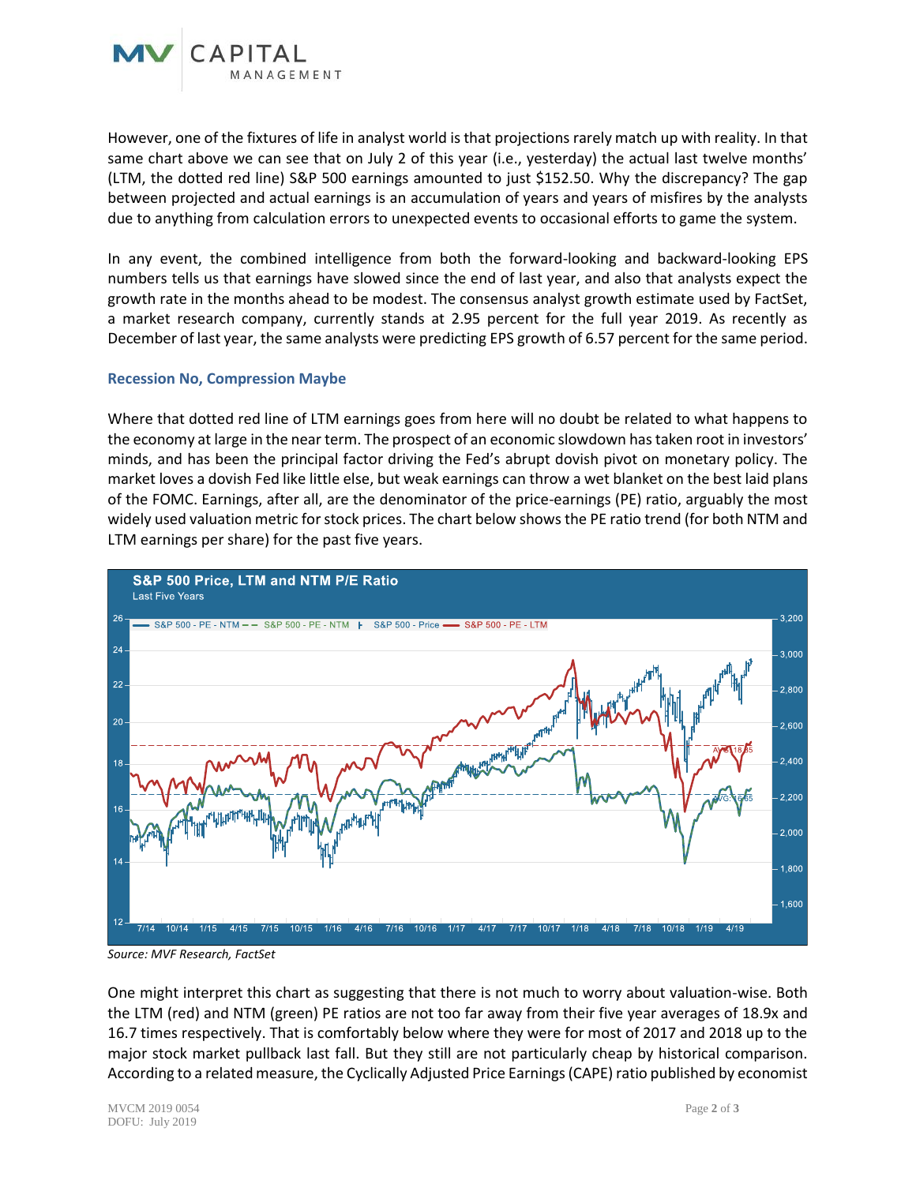

In any event, the combined intelligence from both the forward-looking and backward-looking EPS numbers tells us that earnings have slowed since the end of last year, and also that analysts expect the growth rate in the months ahead to be modest. The consensus analyst growth estimate used by FactSet, a market research company, currently stands at 2.95 percent for the full year 2019. As recently as December of last year, the same analysts were predicting EPS growth of 6.57 percent for the same period.

#### **Recession No, Compression Maybe**

Where that dotted red line of LTM earnings goes from here will no doubt be related to what happens to the economy at large in the near term. The prospect of an economic slowdown has taken root in investors' minds, and has been the principal factor driving the Fed's abrupt dovish pivot on monetary policy. The market loves a dovish Fed like little else, but weak earnings can throw a wet blanket on the best laid plans of the FOMC. Earnings, after all, are the denominator of the price-earnings (PE) ratio, arguably the most widely used valuation metric for stock prices. The chart below shows the PE ratio trend (for both NTM and LTM earnings per share) for the past five years.



*Source: MVF Research, FactSet*

One might interpret this chart as suggesting that there is not much to worry about valuation-wise. Both the LTM (red) and NTM (green) PE ratios are not too far away from their five year averages of 18.9x and 16.7 times respectively. That is comfortably below where they were for most of 2017 and 2018 up to the major stock market pullback last fall. But they still are not particularly cheap by historical comparison. According to a related measure, the Cyclically Adjusted Price Earnings (CAPE) ratio published by economist

MVCM 2019 0054 Page **2** of **3** DOFU: July 2019